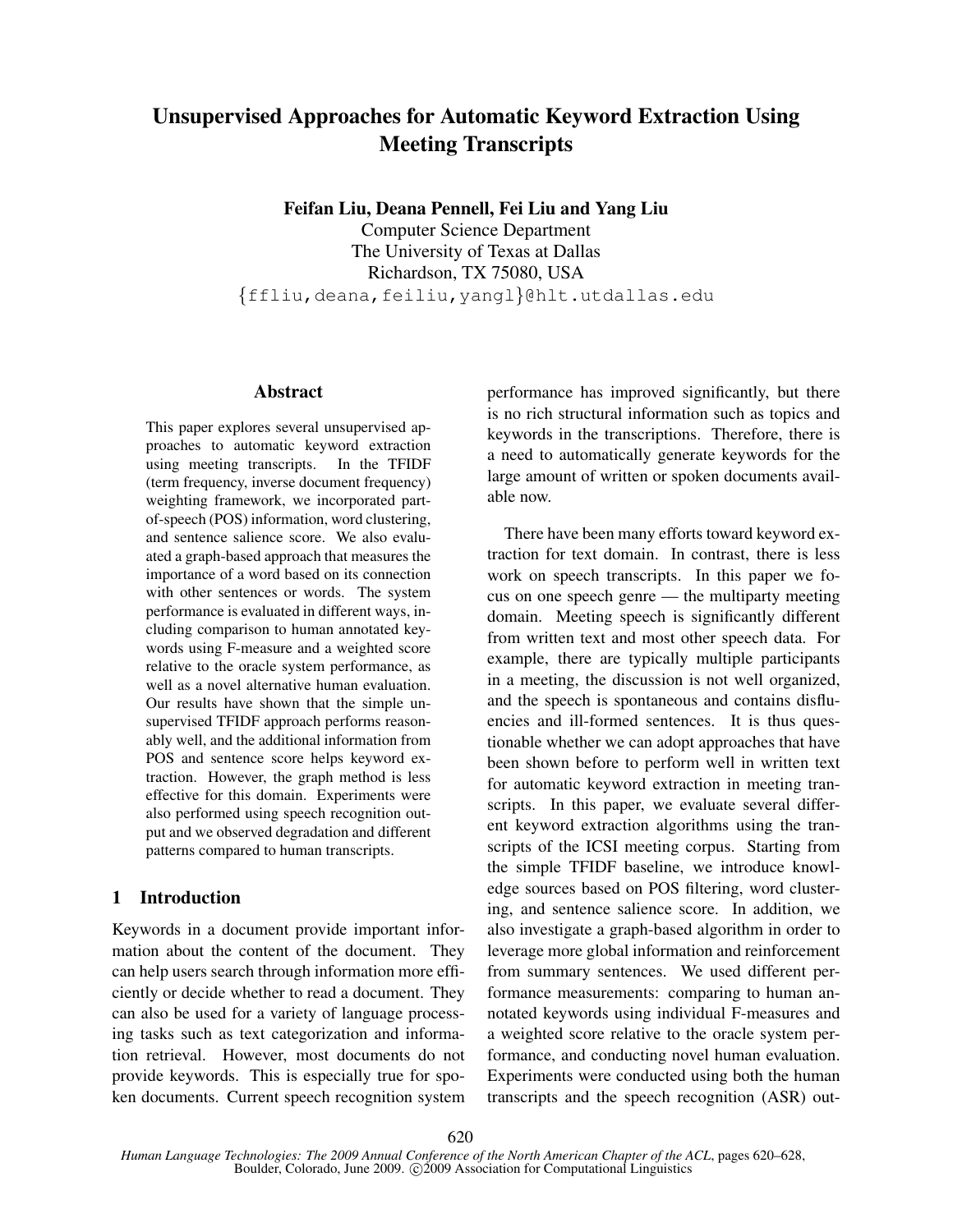# Unsupervised Approaches for Automatic Keyword Extraction Using Meeting Transcripts

Feifan Liu, Deana Pennell, Fei Liu and Yang Liu

Computer Science Department The University of Texas at Dallas Richardson, TX 75080, USA {ffliu,deana,feiliu,yangl}@hlt.utdallas.edu

#### Abstract

This paper explores several unsupervised approaches to automatic keyword extraction using meeting transcripts. In the TFIDF (term frequency, inverse document frequency) weighting framework, we incorporated partof-speech (POS) information, word clustering, and sentence salience score. We also evaluated a graph-based approach that measures the importance of a word based on its connection with other sentences or words. The system performance is evaluated in different ways, including comparison to human annotated keywords using F-measure and a weighted score relative to the oracle system performance, as well as a novel alternative human evaluation. Our results have shown that the simple unsupervised TFIDF approach performs reasonably well, and the additional information from POS and sentence score helps keyword extraction. However, the graph method is less effective for this domain. Experiments were also performed using speech recognition output and we observed degradation and different patterns compared to human transcripts.

# 1 Introduction

Keywords in a document provide important information about the content of the document. They can help users search through information more efficiently or decide whether to read a document. They can also be used for a variety of language processing tasks such as text categorization and information retrieval. However, most documents do not provide keywords. This is especially true for spoken documents. Current speech recognition system performance has improved significantly, but there is no rich structural information such as topics and keywords in the transcriptions. Therefore, there is a need to automatically generate keywords for the large amount of written or spoken documents available now.

There have been many efforts toward keyword extraction for text domain. In contrast, there is less work on speech transcripts. In this paper we focus on one speech genre — the multiparty meeting domain. Meeting speech is significantly different from written text and most other speech data. For example, there are typically multiple participants in a meeting, the discussion is not well organized, and the speech is spontaneous and contains disfluencies and ill-formed sentences. It is thus questionable whether we can adopt approaches that have been shown before to perform well in written text for automatic keyword extraction in meeting transcripts. In this paper, we evaluate several different keyword extraction algorithms using the transcripts of the ICSI meeting corpus. Starting from the simple TFIDF baseline, we introduce knowledge sources based on POS filtering, word clustering, and sentence salience score. In addition, we also investigate a graph-based algorithm in order to leverage more global information and reinforcement from summary sentences. We used different performance measurements: comparing to human annotated keywords using individual F-measures and a weighted score relative to the oracle system performance, and conducting novel human evaluation. Experiments were conducted using both the human transcripts and the speech recognition (ASR) out-

*Human Language Technologies: The 2009 Annual Conference of the North American Chapter of the ACL*, pages 620–628, Boulder, Colorado, June 2009. C<sub>2009</sub> Association for Computational Linguistics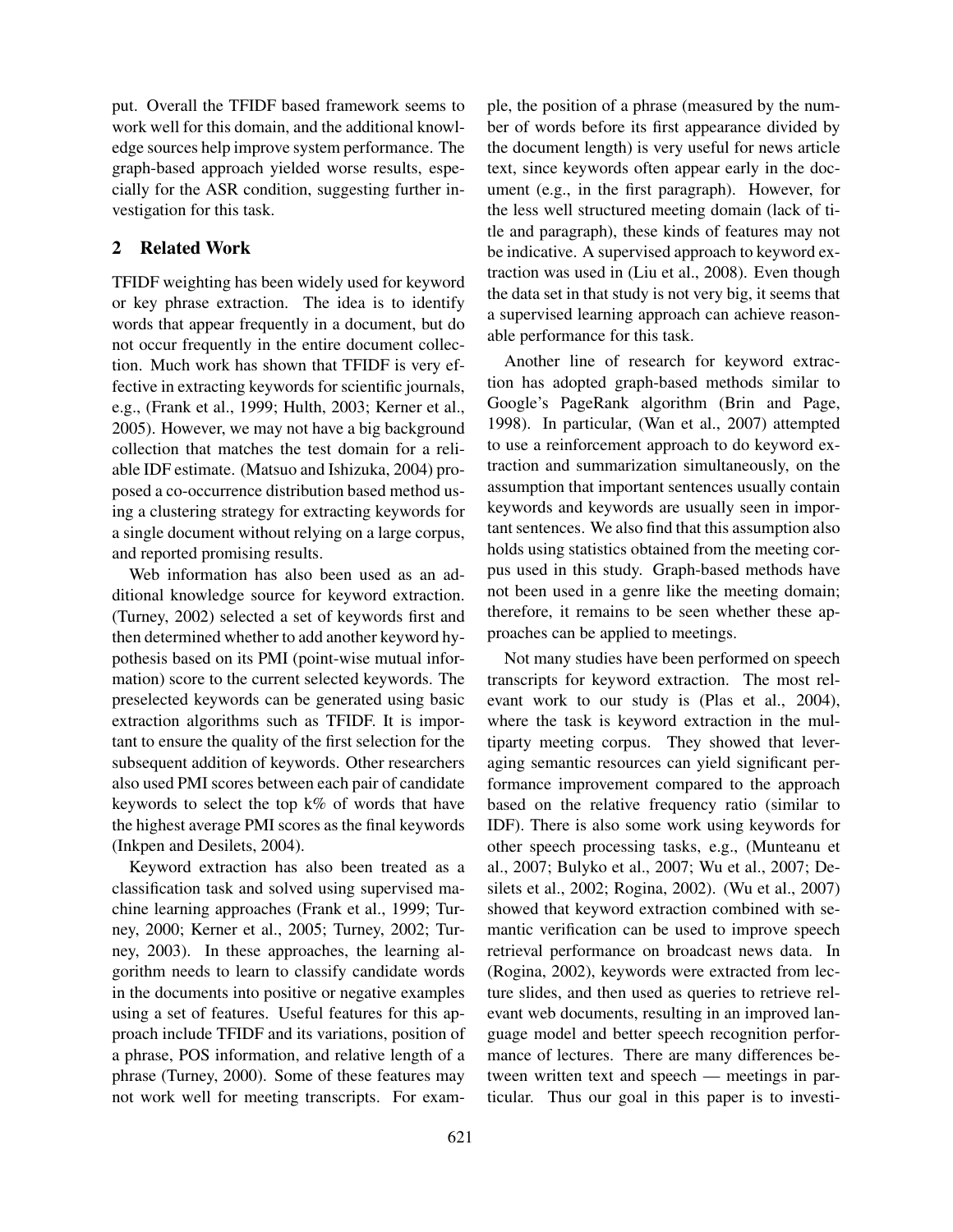put. Overall the TFIDF based framework seems to work well for this domain, and the additional knowledge sources help improve system performance. The graph-based approach yielded worse results, especially for the ASR condition, suggesting further investigation for this task.

# 2 Related Work

TFIDF weighting has been widely used for keyword or key phrase extraction. The idea is to identify words that appear frequently in a document, but do not occur frequently in the entire document collection. Much work has shown that TFIDF is very effective in extracting keywords for scientific journals, e.g., (Frank et al., 1999; Hulth, 2003; Kerner et al., 2005). However, we may not have a big background collection that matches the test domain for a reliable IDF estimate. (Matsuo and Ishizuka, 2004) proposed a co-occurrence distribution based method using a clustering strategy for extracting keywords for a single document without relying on a large corpus, and reported promising results.

Web information has also been used as an additional knowledge source for keyword extraction. (Turney, 2002) selected a set of keywords first and then determined whether to add another keyword hypothesis based on its PMI (point-wise mutual information) score to the current selected keywords. The preselected keywords can be generated using basic extraction algorithms such as TFIDF. It is important to ensure the quality of the first selection for the subsequent addition of keywords. Other researchers also used PMI scores between each pair of candidate keywords to select the top k% of words that have the highest average PMI scores as the final keywords (Inkpen and Desilets, 2004).

Keyword extraction has also been treated as a classification task and solved using supervised machine learning approaches (Frank et al., 1999; Turney, 2000; Kerner et al., 2005; Turney, 2002; Turney, 2003). In these approaches, the learning algorithm needs to learn to classify candidate words in the documents into positive or negative examples using a set of features. Useful features for this approach include TFIDF and its variations, position of a phrase, POS information, and relative length of a phrase (Turney, 2000). Some of these features may not work well for meeting transcripts. For example, the position of a phrase (measured by the number of words before its first appearance divided by the document length) is very useful for news article text, since keywords often appear early in the document (e.g., in the first paragraph). However, for the less well structured meeting domain (lack of title and paragraph), these kinds of features may not be indicative. A supervised approach to keyword extraction was used in (Liu et al., 2008). Even though the data set in that study is not very big, it seems that a supervised learning approach can achieve reasonable performance for this task.

Another line of research for keyword extraction has adopted graph-based methods similar to Google's PageRank algorithm (Brin and Page, 1998). In particular, (Wan et al., 2007) attempted to use a reinforcement approach to do keyword extraction and summarization simultaneously, on the assumption that important sentences usually contain keywords and keywords are usually seen in important sentences. We also find that this assumption also holds using statistics obtained from the meeting corpus used in this study. Graph-based methods have not been used in a genre like the meeting domain; therefore, it remains to be seen whether these approaches can be applied to meetings.

Not many studies have been performed on speech transcripts for keyword extraction. The most relevant work to our study is (Plas et al., 2004), where the task is keyword extraction in the multiparty meeting corpus. They showed that leveraging semantic resources can yield significant performance improvement compared to the approach based on the relative frequency ratio (similar to IDF). There is also some work using keywords for other speech processing tasks, e.g., (Munteanu et al., 2007; Bulyko et al., 2007; Wu et al., 2007; Desilets et al., 2002; Rogina, 2002). (Wu et al., 2007) showed that keyword extraction combined with semantic verification can be used to improve speech retrieval performance on broadcast news data. In (Rogina, 2002), keywords were extracted from lecture slides, and then used as queries to retrieve relevant web documents, resulting in an improved language model and better speech recognition performance of lectures. There are many differences between written text and speech — meetings in particular. Thus our goal in this paper is to investi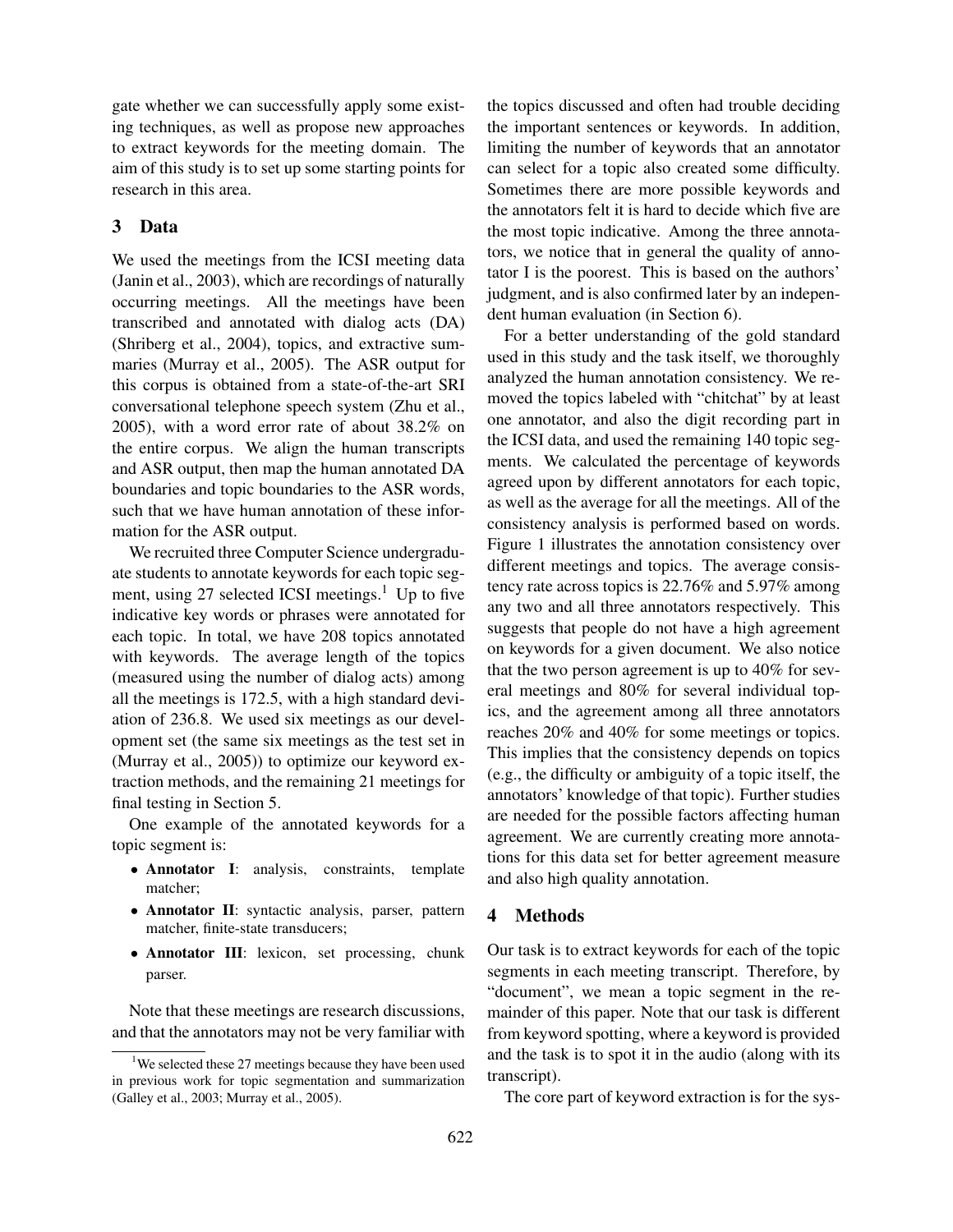gate whether we can successfully apply some existing techniques, as well as propose new approaches to extract keywords for the meeting domain. The aim of this study is to set up some starting points for research in this area.

## 3 Data

We used the meetings from the ICSI meeting data (Janin et al., 2003), which are recordings of naturally occurring meetings. All the meetings have been transcribed and annotated with dialog acts (DA) (Shriberg et al., 2004), topics, and extractive summaries (Murray et al., 2005). The ASR output for this corpus is obtained from a state-of-the-art SRI conversational telephone speech system (Zhu et al., 2005), with a word error rate of about 38.2% on the entire corpus. We align the human transcripts and ASR output, then map the human annotated DA boundaries and topic boundaries to the ASR words, such that we have human annotation of these information for the ASR output.

We recruited three Computer Science undergraduate students to annotate keywords for each topic segment, using 27 selected ICSI meetings.<sup>1</sup> Up to five indicative key words or phrases were annotated for each topic. In total, we have 208 topics annotated with keywords. The average length of the topics (measured using the number of dialog acts) among all the meetings is 172.5, with a high standard deviation of 236.8. We used six meetings as our development set (the same six meetings as the test set in (Murray et al., 2005)) to optimize our keyword extraction methods, and the remaining 21 meetings for final testing in Section 5.

One example of the annotated keywords for a topic segment is:

- Annotator I: analysis, constraints, template matcher;
- Annotator II: syntactic analysis, parser, pattern matcher, finite-state transducers;
- Annotator III: lexicon, set processing, chunk parser.

Note that these meetings are research discussions, and that the annotators may not be very familiar with the topics discussed and often had trouble deciding the important sentences or keywords. In addition, limiting the number of keywords that an annotator can select for a topic also created some difficulty. Sometimes there are more possible keywords and the annotators felt it is hard to decide which five are the most topic indicative. Among the three annotators, we notice that in general the quality of annotator I is the poorest. This is based on the authors' judgment, and is also confirmed later by an independent human evaluation (in Section 6).

For a better understanding of the gold standard used in this study and the task itself, we thoroughly analyzed the human annotation consistency. We removed the topics labeled with "chitchat" by at least one annotator, and also the digit recording part in the ICSI data, and used the remaining 140 topic segments. We calculated the percentage of keywords agreed upon by different annotators for each topic, as well as the average for all the meetings. All of the consistency analysis is performed based on words. Figure 1 illustrates the annotation consistency over different meetings and topics. The average consistency rate across topics is 22.76% and 5.97% among any two and all three annotators respectively. This suggests that people do not have a high agreement on keywords for a given document. We also notice that the two person agreement is up to 40% for several meetings and 80% for several individual topics, and the agreement among all three annotators reaches 20% and 40% for some meetings or topics. This implies that the consistency depends on topics (e.g., the difficulty or ambiguity of a topic itself, the annotators' knowledge of that topic). Further studies are needed for the possible factors affecting human agreement. We are currently creating more annotations for this data set for better agreement measure and also high quality annotation.

## 4 Methods

Our task is to extract keywords for each of the topic segments in each meeting transcript. Therefore, by "document", we mean a topic segment in the remainder of this paper. Note that our task is different from keyword spotting, where a keyword is provided and the task is to spot it in the audio (along with its transcript).

The core part of keyword extraction is for the sys-

<sup>&</sup>lt;sup>1</sup>We selected these 27 meetings because they have been used in previous work for topic segmentation and summarization (Galley et al., 2003; Murray et al., 2005).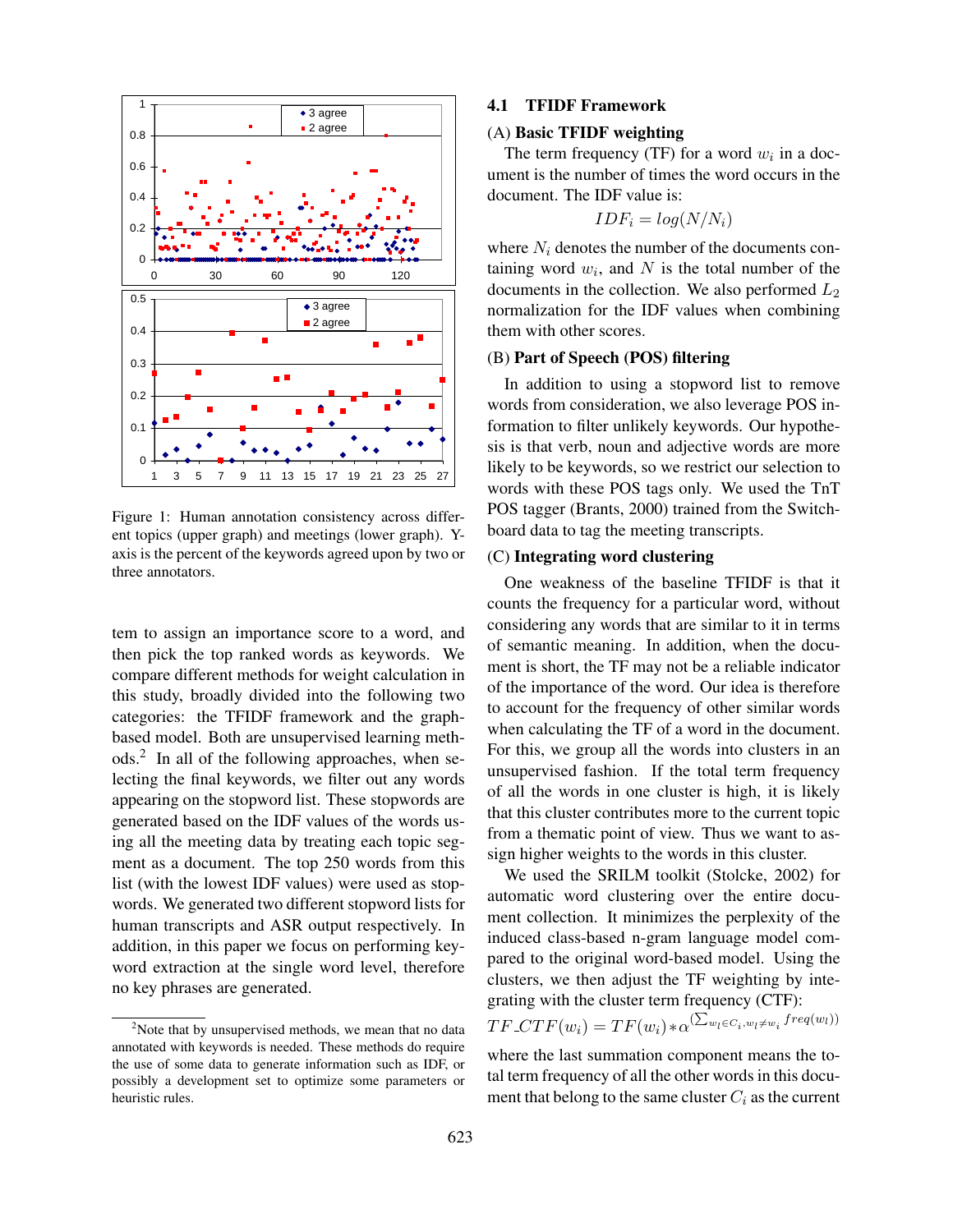

Figure 1: Human annotation consistency across different topics (upper graph) and meetings (lower graph). Yaxis is the percent of the keywords agreed upon by two or three annotators.

tem to assign an importance score to a word, and then pick the top ranked words as keywords. We compare different methods for weight calculation in this study, broadly divided into the following two categories: the TFIDF framework and the graphbased model. Both are unsupervised learning methods.<sup>2</sup> In all of the following approaches, when selecting the final keywords, we filter out any words appearing on the stopword list. These stopwords are generated based on the IDF values of the words using all the meeting data by treating each topic segment as a document. The top 250 words from this list (with the lowest IDF values) were used as stopwords. We generated two different stopword lists for human transcripts and ASR output respectively. In addition, in this paper we focus on performing keyword extraction at the single word level, therefore no key phrases are generated.

#### 4.1 TFIDF Framework

#### (A) Basic TFIDF weighting

The term frequency (TF) for a word  $w_i$  in a document is the number of times the word occurs in the document. The IDF value is:

$$
IDF_i = log(N/N_i)
$$

where  $N_i$  denotes the number of the documents containing word  $w_i$ , and N is the total number of the documents in the collection. We also performed  $L_2$ normalization for the IDF values when combining them with other scores.

## (B) Part of Speech (POS) filtering

In addition to using a stopword list to remove words from consideration, we also leverage POS information to filter unlikely keywords. Our hypothesis is that verb, noun and adjective words are more likely to be keywords, so we restrict our selection to words with these POS tags only. We used the TnT POS tagger (Brants, 2000) trained from the Switchboard data to tag the meeting transcripts.

## (C) Integrating word clustering

One weakness of the baseline TFIDF is that it counts the frequency for a particular word, without considering any words that are similar to it in terms of semantic meaning. In addition, when the document is short, the TF may not be a reliable indicator of the importance of the word. Our idea is therefore to account for the frequency of other similar words when calculating the TF of a word in the document. For this, we group all the words into clusters in an unsupervised fashion. If the total term frequency of all the words in one cluster is high, it is likely that this cluster contributes more to the current topic from a thematic point of view. Thus we want to assign higher weights to the words in this cluster.

We used the SRILM toolkit (Stolcke, 2002) for automatic word clustering over the entire document collection. It minimizes the perplexity of the induced class-based n-gram language model compared to the original word-based model. Using the clusters, we then adjust the TF weighting by integrating with the cluster term frequency (CTF):

$$
TF\_CTF(w_i) = TF(w_i) * \alpha^{\left(\sum_{w_l \in C_i, w_l \neq w_i} freq(w_l)\right)}
$$

where the last summation component means the total term frequency of all the other words in this document that belong to the same cluster  $C_i$  as the current

<sup>&</sup>lt;sup>2</sup>Note that by unsupervised methods, we mean that no data annotated with keywords is needed. These methods do require the use of some data to generate information such as IDF, or possibly a development set to optimize some parameters or heuristic rules.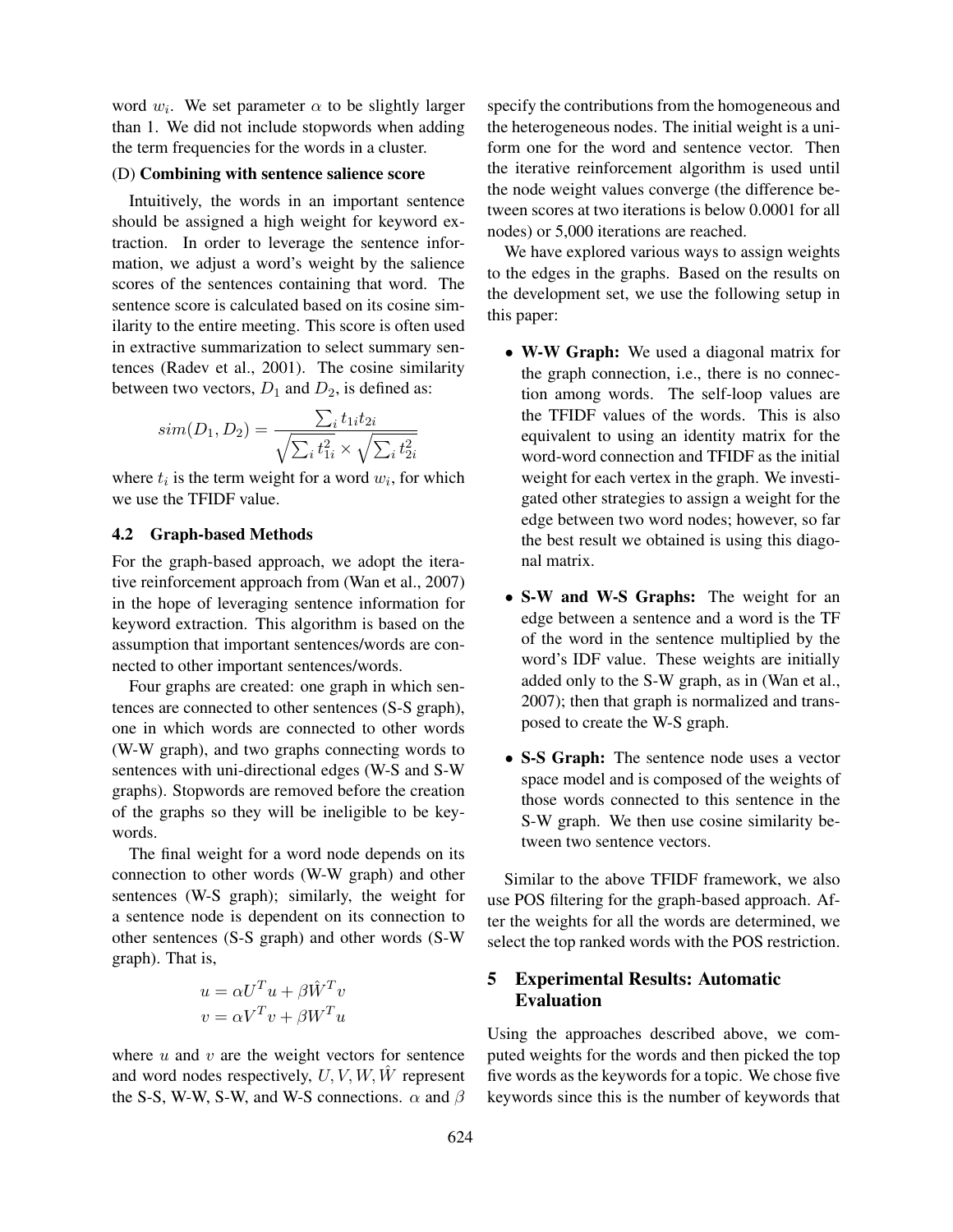word  $w_i$ . We set parameter  $\alpha$  to be slightly larger than 1. We did not include stopwords when adding the term frequencies for the words in a cluster.

#### (D) Combining with sentence salience score

Intuitively, the words in an important sentence should be assigned a high weight for keyword extraction. In order to leverage the sentence information, we adjust a word's weight by the salience scores of the sentences containing that word. The sentence score is calculated based on its cosine similarity to the entire meeting. This score is often used in extractive summarization to select summary sentences (Radev et al., 2001). The cosine similarity between two vectors,  $D_1$  and  $D_2$ , is defined as:

$$
sim(D_1, D_2) = \frac{\sum_{i} t_{1i} t_{2i}}{\sqrt{\sum_{i} t_{1i}^2} \times \sqrt{\sum_{i} t_{2i}^2}}
$$

where  $t_i$  is the term weight for a word  $w_i$ , for which we use the TFIDF value.

#### 4.2 Graph-based Methods

For the graph-based approach, we adopt the iterative reinforcement approach from (Wan et al., 2007) in the hope of leveraging sentence information for keyword extraction. This algorithm is based on the assumption that important sentences/words are connected to other important sentences/words.

Four graphs are created: one graph in which sentences are connected to other sentences (S-S graph), one in which words are connected to other words (W-W graph), and two graphs connecting words to sentences with uni-directional edges (W-S and S-W graphs). Stopwords are removed before the creation of the graphs so they will be ineligible to be keywords.

The final weight for a word node depends on its connection to other words (W-W graph) and other sentences (W-S graph); similarly, the weight for a sentence node is dependent on its connection to other sentences (S-S graph) and other words (S-W graph). That is,

$$
u = \alpha U^T u + \beta \hat{W}^T v
$$

$$
v = \alpha V^T v + \beta W^T u
$$

where  $u$  and  $v$  are the weight vectors for sentence and word nodes respectively,  $U, V, W, \hat{W}$  represent the S-S, W-W, S-W, and W-S connections.  $\alpha$  and  $\beta$  specify the contributions from the homogeneous and the heterogeneous nodes. The initial weight is a uniform one for the word and sentence vector. Then the iterative reinforcement algorithm is used until the node weight values converge (the difference between scores at two iterations is below 0.0001 for all nodes) or 5,000 iterations are reached.

We have explored various ways to assign weights to the edges in the graphs. Based on the results on the development set, we use the following setup in this paper:

- W-W Graph: We used a diagonal matrix for the graph connection, i.e., there is no connection among words. The self-loop values are the TFIDF values of the words. This is also equivalent to using an identity matrix for the word-word connection and TFIDF as the initial weight for each vertex in the graph. We investigated other strategies to assign a weight for the edge between two word nodes; however, so far the best result we obtained is using this diagonal matrix.
- S-W and W-S Graphs: The weight for an edge between a sentence and a word is the TF of the word in the sentence multiplied by the word's IDF value. These weights are initially added only to the S-W graph, as in (Wan et al., 2007); then that graph is normalized and transposed to create the W-S graph.
- S-S Graph: The sentence node uses a vector space model and is composed of the weights of those words connected to this sentence in the S-W graph. We then use cosine similarity between two sentence vectors.

Similar to the above TFIDF framework, we also use POS filtering for the graph-based approach. After the weights for all the words are determined, we select the top ranked words with the POS restriction.

# 5 Experimental Results: Automatic Evaluation

Using the approaches described above, we computed weights for the words and then picked the top five words as the keywords for a topic. We chose five keywords since this is the number of keywords that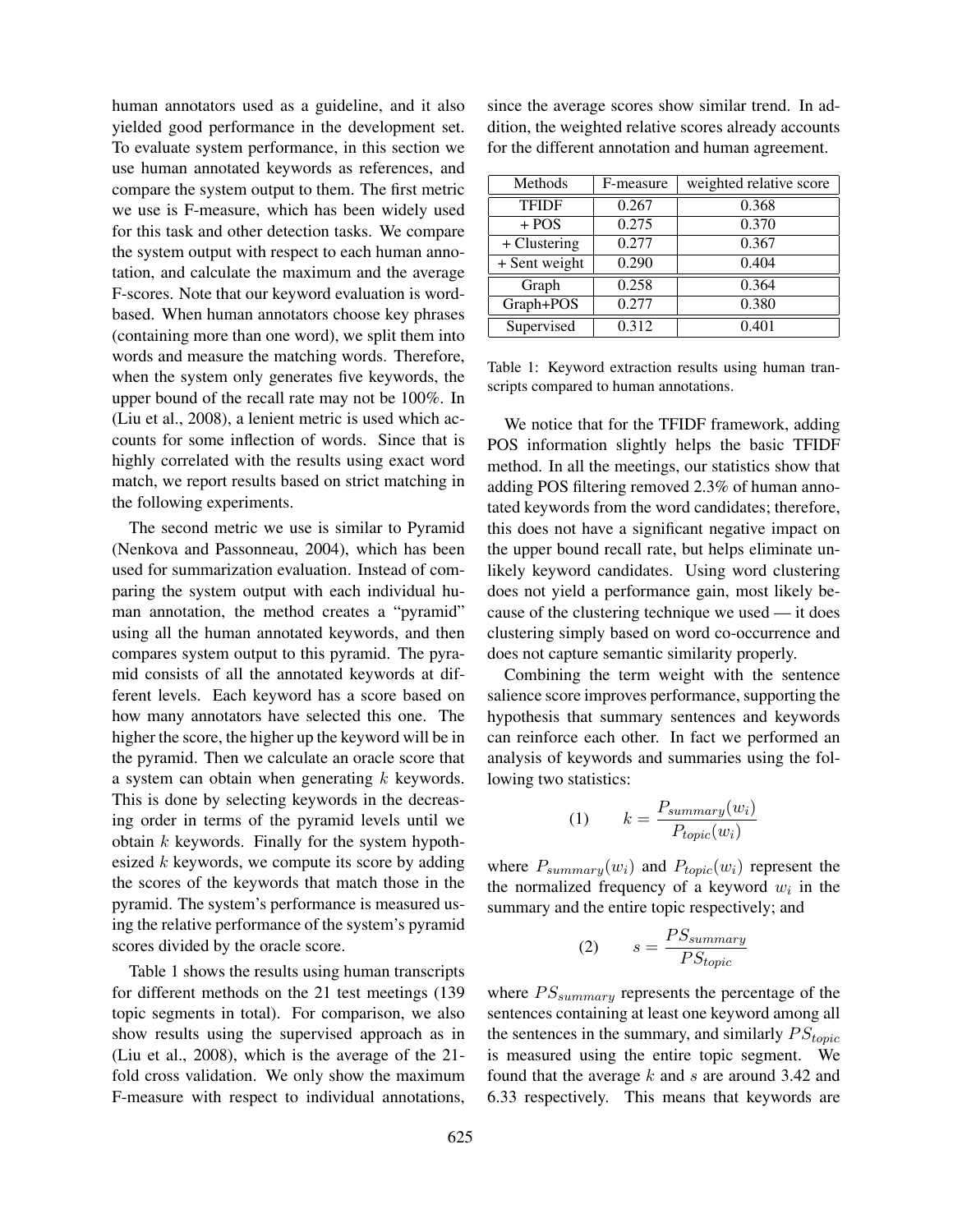human annotators used as a guideline, and it also yielded good performance in the development set. To evaluate system performance, in this section we use human annotated keywords as references, and compare the system output to them. The first metric we use is F-measure, which has been widely used for this task and other detection tasks. We compare the system output with respect to each human annotation, and calculate the maximum and the average F-scores. Note that our keyword evaluation is wordbased. When human annotators choose key phrases (containing more than one word), we split them into words and measure the matching words. Therefore, when the system only generates five keywords, the upper bound of the recall rate may not be 100%. In (Liu et al., 2008), a lenient metric is used which accounts for some inflection of words. Since that is highly correlated with the results using exact word match, we report results based on strict matching in the following experiments.

The second metric we use is similar to Pyramid (Nenkova and Passonneau, 2004), which has been used for summarization evaluation. Instead of comparing the system output with each individual human annotation, the method creates a "pyramid" using all the human annotated keywords, and then compares system output to this pyramid. The pyramid consists of all the annotated keywords at different levels. Each keyword has a score based on how many annotators have selected this one. The higher the score, the higher up the keyword will be in the pyramid. Then we calculate an oracle score that a system can obtain when generating  $k$  keywords. This is done by selecting keywords in the decreasing order in terms of the pyramid levels until we obtain  $k$  keywords. Finally for the system hypothesized  $k$  keywords, we compute its score by adding the scores of the keywords that match those in the pyramid. The system's performance is measured using the relative performance of the system's pyramid scores divided by the oracle score.

Table 1 shows the results using human transcripts for different methods on the 21 test meetings (139 topic segments in total). For comparison, we also show results using the supervised approach as in (Liu et al., 2008), which is the average of the 21 fold cross validation. We only show the maximum F-measure with respect to individual annotations, since the average scores show similar trend. In addition, the weighted relative scores already accounts for the different annotation and human agreement.

| Methods       | F-measure | weighted relative score |
|---------------|-----------|-------------------------|
| <b>TFIDF</b>  | 0.267     | 0.368                   |
| $+ POS$       | 0.275     | 0.370                   |
| + Clustering  | 0.277     | 0.367                   |
| + Sent weight | 0.290     | 0.404                   |
| Graph         | 0.258     | 0.364                   |
| Graph+POS     | 0.277     | 0.380                   |
| Supervised    | 0.312     | 0.401                   |

Table 1: Keyword extraction results using human transcripts compared to human annotations.

We notice that for the TFIDF framework, adding POS information slightly helps the basic TFIDF method. In all the meetings, our statistics show that adding POS filtering removed 2.3% of human annotated keywords from the word candidates; therefore, this does not have a significant negative impact on the upper bound recall rate, but helps eliminate unlikely keyword candidates. Using word clustering does not yield a performance gain, most likely because of the clustering technique we used — it does clustering simply based on word co-occurrence and does not capture semantic similarity properly.

Combining the term weight with the sentence salience score improves performance, supporting the hypothesis that summary sentences and keywords can reinforce each other. In fact we performed an analysis of keywords and summaries using the following two statistics:

$$
(1) \qquad k = \frac{P_{summary}(w_i)}{P_{topic}(w_i)}
$$

where  $P_{summary}(w_i)$  and  $P_{topic}(w_i)$  represent the the normalized frequency of a keyword  $w_i$  in the summary and the entire topic respectively; and

$$
(2) \qquad s = \frac{PS_{summary}}{PS_{topic}}
$$

where  $PS_{summary}$  represents the percentage of the sentences containing at least one keyword among all the sentences in the summary, and similarly  $PS_{topic}$ is measured using the entire topic segment. We found that the average  $k$  and  $s$  are around 3.42 and 6.33 respectively. This means that keywords are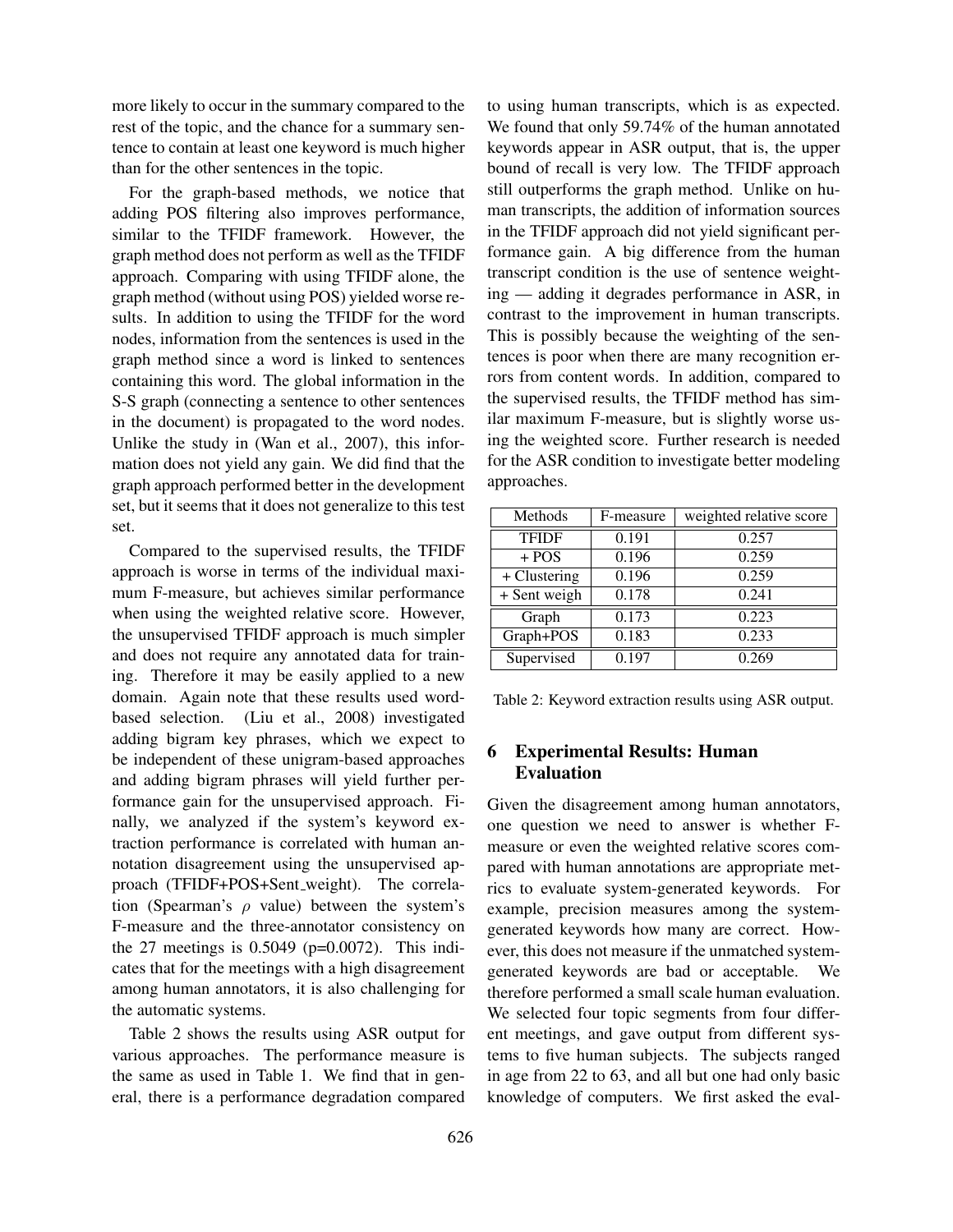more likely to occur in the summary compared to the rest of the topic, and the chance for a summary sentence to contain at least one keyword is much higher than for the other sentences in the topic.

For the graph-based methods, we notice that adding POS filtering also improves performance, similar to the TFIDF framework. However, the graph method does not perform as well as the TFIDF approach. Comparing with using TFIDF alone, the graph method (without using POS) yielded worse results. In addition to using the TFIDF for the word nodes, information from the sentences is used in the graph method since a word is linked to sentences containing this word. The global information in the S-S graph (connecting a sentence to other sentences in the document) is propagated to the word nodes. Unlike the study in (Wan et al., 2007), this information does not yield any gain. We did find that the graph approach performed better in the development set, but it seems that it does not generalize to this test set.

Compared to the supervised results, the TFIDF approach is worse in terms of the individual maximum F-measure, but achieves similar performance when using the weighted relative score. However, the unsupervised TFIDF approach is much simpler and does not require any annotated data for training. Therefore it may be easily applied to a new domain. Again note that these results used wordbased selection. (Liu et al., 2008) investigated adding bigram key phrases, which we expect to be independent of these unigram-based approaches and adding bigram phrases will yield further performance gain for the unsupervised approach. Finally, we analyzed if the system's keyword extraction performance is correlated with human annotation disagreement using the unsupervised approach (TFIDF+POS+Sent\_weight). The correlation (Spearman's  $\rho$  value) between the system's F-measure and the three-annotator consistency on the 27 meetings is  $0.5049$  ( $p=0.0072$ ). This indicates that for the meetings with a high disagreement among human annotators, it is also challenging for the automatic systems.

Table 2 shows the results using ASR output for various approaches. The performance measure is the same as used in Table 1. We find that in general, there is a performance degradation compared to using human transcripts, which is as expected. We found that only 59.74% of the human annotated keywords appear in ASR output, that is, the upper bound of recall is very low. The TFIDF approach still outperforms the graph method. Unlike on human transcripts, the addition of information sources in the TFIDF approach did not yield significant performance gain. A big difference from the human transcript condition is the use of sentence weighting — adding it degrades performance in ASR, in contrast to the improvement in human transcripts. This is possibly because the weighting of the sentences is poor when there are many recognition errors from content words. In addition, compared to the supervised results, the TFIDF method has similar maximum F-measure, but is slightly worse using the weighted score. Further research is needed for the ASR condition to investigate better modeling approaches.

| Methods      | F-measure | weighted relative score |
|--------------|-----------|-------------------------|
| <b>TFIDF</b> | 0.191     | 0.257                   |
| $+ POS$      | 0.196     | 0.259                   |
| + Clustering | 0.196     | 0.259                   |
| + Sent weigh | 0.178     | 0.241                   |
| Graph        | 0.173     | 0.223                   |
| Graph+POS    | 0.183     | 0.233                   |
| Supervised   | 0.197     | 0.269                   |

Table 2: Keyword extraction results using ASR output.

## 6 Experimental Results: Human Evaluation

Given the disagreement among human annotators, one question we need to answer is whether Fmeasure or even the weighted relative scores compared with human annotations are appropriate metrics to evaluate system-generated keywords. For example, precision measures among the systemgenerated keywords how many are correct. However, this does not measure if the unmatched systemgenerated keywords are bad or acceptable. We therefore performed a small scale human evaluation. We selected four topic segments from four different meetings, and gave output from different systems to five human subjects. The subjects ranged in age from 22 to 63, and all but one had only basic knowledge of computers. We first asked the eval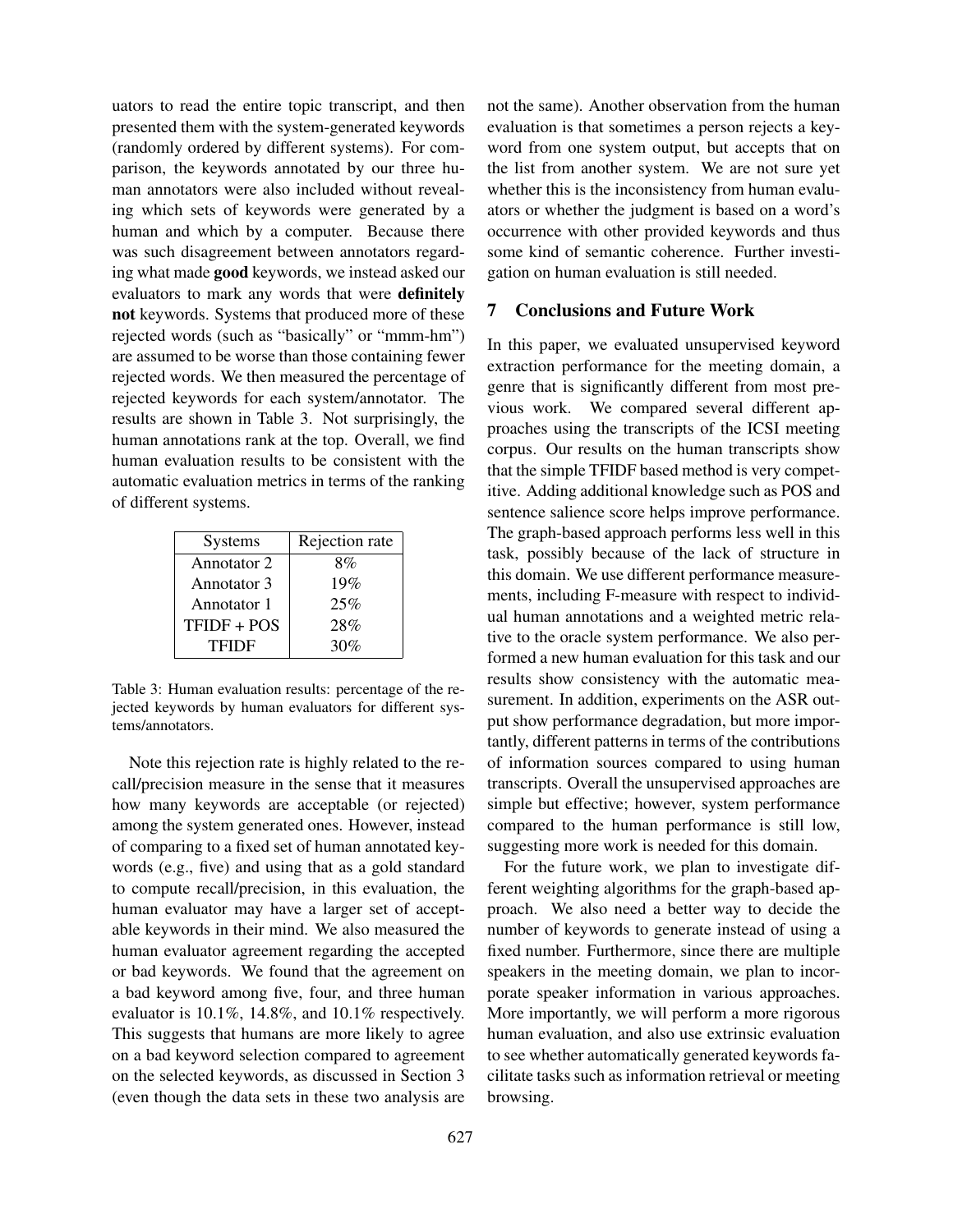uators to read the entire topic transcript, and then presented them with the system-generated keywords (randomly ordered by different systems). For comparison, the keywords annotated by our three human annotators were also included without revealing which sets of keywords were generated by a human and which by a computer. Because there was such disagreement between annotators regarding what made good keywords, we instead asked our evaluators to mark any words that were definitely not keywords. Systems that produced more of these rejected words (such as "basically" or "mmm-hm") are assumed to be worse than those containing fewer rejected words. We then measured the percentage of rejected keywords for each system/annotator. The results are shown in Table 3. Not surprisingly, the human annotations rank at the top. Overall, we find human evaluation results to be consistent with the automatic evaluation metrics in terms of the ranking of different systems.

| <b>Systems</b> | Rejection rate |
|----------------|----------------|
| Annotator 2    | 8%             |
| Annotator 3    | 19%            |
| Annotator 1    | 25%            |
| TFIDF + POS    | 28%            |
| <b>TFIDF</b>   | 30%            |

Table 3: Human evaluation results: percentage of the rejected keywords by human evaluators for different systems/annotators.

Note this rejection rate is highly related to the recall/precision measure in the sense that it measures how many keywords are acceptable (or rejected) among the system generated ones. However, instead of comparing to a fixed set of human annotated keywords (e.g., five) and using that as a gold standard to compute recall/precision, in this evaluation, the human evaluator may have a larger set of acceptable keywords in their mind. We also measured the human evaluator agreement regarding the accepted or bad keywords. We found that the agreement on a bad keyword among five, four, and three human evaluator is 10.1%, 14.8%, and 10.1% respectively. This suggests that humans are more likely to agree on a bad keyword selection compared to agreement on the selected keywords, as discussed in Section 3 (even though the data sets in these two analysis are not the same). Another observation from the human evaluation is that sometimes a person rejects a keyword from one system output, but accepts that on the list from another system. We are not sure yet whether this is the inconsistency from human evaluators or whether the judgment is based on a word's occurrence with other provided keywords and thus some kind of semantic coherence. Further investigation on human evaluation is still needed.

## 7 Conclusions and Future Work

In this paper, we evaluated unsupervised keyword extraction performance for the meeting domain, a genre that is significantly different from most previous work. We compared several different approaches using the transcripts of the ICSI meeting corpus. Our results on the human transcripts show that the simple TFIDF based method is very competitive. Adding additional knowledge such as POS and sentence salience score helps improve performance. The graph-based approach performs less well in this task, possibly because of the lack of structure in this domain. We use different performance measurements, including F-measure with respect to individual human annotations and a weighted metric relative to the oracle system performance. We also performed a new human evaluation for this task and our results show consistency with the automatic measurement. In addition, experiments on the ASR output show performance degradation, but more importantly, different patterns in terms of the contributions of information sources compared to using human transcripts. Overall the unsupervised approaches are simple but effective; however, system performance compared to the human performance is still low, suggesting more work is needed for this domain.

For the future work, we plan to investigate different weighting algorithms for the graph-based approach. We also need a better way to decide the number of keywords to generate instead of using a fixed number. Furthermore, since there are multiple speakers in the meeting domain, we plan to incorporate speaker information in various approaches. More importantly, we will perform a more rigorous human evaluation, and also use extrinsic evaluation to see whether automatically generated keywords facilitate tasks such as information retrieval or meeting browsing.